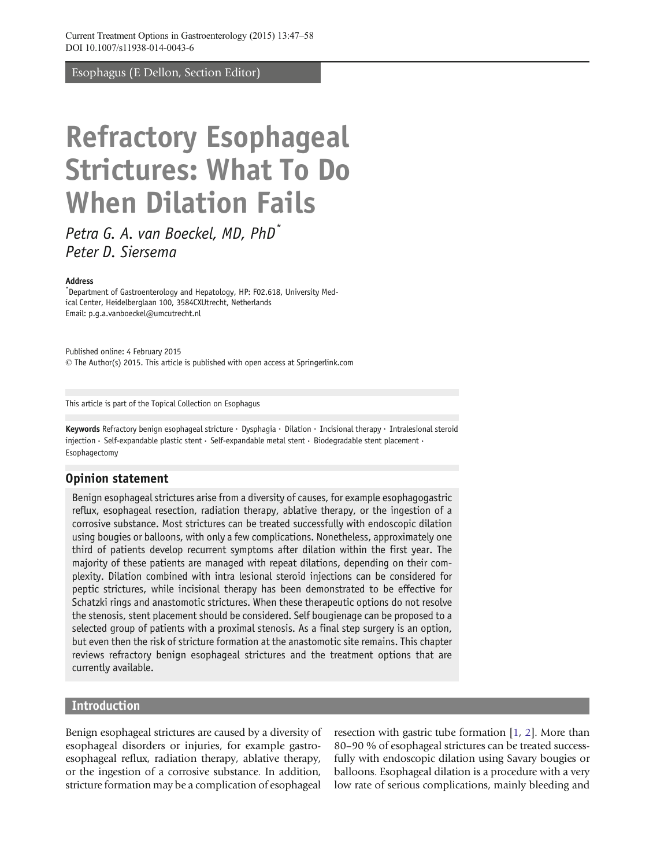Esophagus (E Dellon, Section Editor)

# Refractory Esophageal Strictures: What To Do When Dilation Fails

Petra G. A. van Boeckel, MD, PhD<sup>\*</sup> Peter D. Siersema

#### Address

\* Department of Gastroenterology and Hepatology, HP: F02.618, University Medical Center, Heidelberglaan 100, 3584CXUtrecht, Netherlands Email: p.g.a.vanboeckel@umcutrecht.nl

Published online: 4 February 2015  $\circ$  The Author(s) 2015. This article is published with open access at Springerlink.com

This article is part of the Topical Collection on Esophagus

Keywords Refractory benign esophageal stricture · Dysphagia · Dilation · Incisional therapy · Intralesional steroid injection  $\cdot$  Self-expandable plastic stent  $\cdot$  Self-expandable metal stent  $\cdot$  Biodegradable stent placement  $\cdot$ Esophagectomy

#### Opinion statement

Benign esophageal strictures arise from a diversity of causes, for example esophagogastric reflux, esophageal resection, radiation therapy, ablative therapy, or the ingestion of a corrosive substance. Most strictures can be treated successfully with endoscopic dilation using bougies or balloons, with only a few complications. Nonetheless, approximately one third of patients develop recurrent symptoms after dilation within the first year. The majority of these patients are managed with repeat dilations, depending on their complexity. Dilation combined with intra lesional steroid injections can be considered for peptic strictures, while incisional therapy has been demonstrated to be effective for Schatzki rings and anastomotic strictures. When these therapeutic options do not resolve the stenosis, stent placement should be considered. Self bougienage can be proposed to a selected group of patients with a proximal stenosis. As a final step surgery is an option, but even then the risk of stricture formation at the anastomotic site remains. This chapter reviews refractory benign esophageal strictures and the treatment options that are currently available.

#### Introduction

Benign esophageal strictures are caused by a diversity of esophageal disorders or injuries, for example gastroesophageal reflux, radiation therapy, ablative therapy, or the ingestion of a corrosive substance. In addition, stricture formation may be a complication of esophageal resection with gastric tube formation [\[1](#page-8-0), [2](#page-8-0)]. More than 80–90 % of esophageal strictures can be treated successfully with endoscopic dilation using Savary bougies or balloons. Esophageal dilation is a procedure with a very low rate of serious complications, mainly bleeding and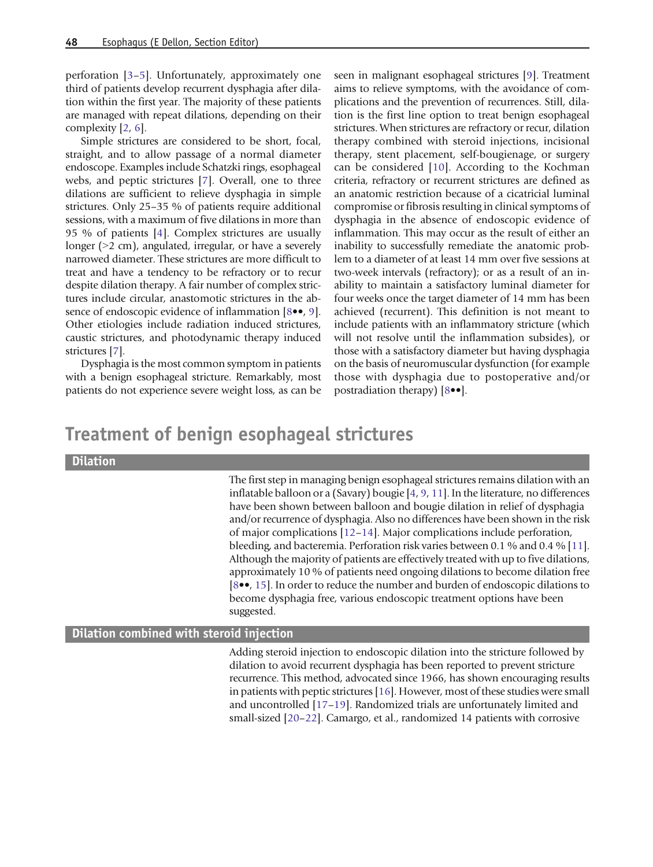perforation [\[3](#page-8-0)–[5\]](#page-8-0). Unfortunately, approximately one third of patients develop recurrent dysphagia after dilation within the first year. The majority of these patients are managed with repeat dilations, depending on their complexity [\[2,](#page-8-0) [6](#page-8-0)].

Simple strictures are considered to be short, focal, straight, and to allow passage of a normal diameter endoscope. Examples include Schatzki rings, esophageal webs, and peptic strictures [\[7\]](#page-8-0). Overall, one to three dilations are sufficient to relieve dysphagia in simple strictures. Only 25–35 % of patients require additional sessions, with a maximum of five dilations in more than 95 % of patients [\[4\]](#page-8-0). Complex strictures are usually longer  $(>2$  cm), angulated, irregular, or have a severely narrowed diameter. These strictures are more difficult to treat and have a tendency to be refractory or to recur despite dilation therapy. A fair number of complex strictures include circular, anastomotic strictures in the ab-sence of endoscopic evidence of inflammation [\[8](#page-8-0)••, [9](#page-9-0)]. Other etiologies include radiation induced strictures, caustic strictures, and photodynamic therapy induced strictures [\[7](#page-8-0)].

Dysphagia is the most common symptom in patients with a benign esophageal stricture. Remarkably, most patients do not experience severe weight loss, as can be seen in malignant esophageal strictures [\[9\]](#page-9-0). Treatment aims to relieve symptoms, with the avoidance of complications and the prevention of recurrences. Still, dilation is the first line option to treat benign esophageal strictures. When strictures are refractory or recur, dilation therapy combined with steroid injections, incisional therapy, stent placement, self-bougienage, or surgery can be considered [[10\]](#page-9-0). According to the Kochman criteria, refractory or recurrent strictures are defined as an anatomic restriction because of a cicatricial luminal compromise or fibrosis resulting in clinical symptoms of dysphagia in the absence of endoscopic evidence of inflammation. This may occur as the result of either an inability to successfully remediate the anatomic problem to a diameter of at least 14 mm over five sessions at two-week intervals (refractory); or as a result of an inability to maintain a satisfactory luminal diameter for four weeks once the target diameter of 14 mm has been achieved (recurrent). This definition is not meant to include patients with an inflammatory stricture (which will not resolve until the inflammation subsides), or those with a satisfactory diameter but having dysphagia on the basis of neuromuscular dysfunction (for example those with dysphagia due to postoperative and/or postradiation therapy) [\[8](#page-8-0)••].

### Treatment of benign esophageal strictures

Dilation

The first step in managing benign esophageal strictures remains dilation with an inflatable balloon or a (Savary) bougie [\[4](#page-8-0), [9](#page-9-0), [11](#page-9-0)]. In the literature, no differences have been shown between balloon and bougie dilation in relief of dysphagia and/or recurrence of dysphagia. Also no differences have been shown in the risk of major complications [[12](#page-9-0)–[14\]](#page-9-0). Major complications include perforation, bleeding, and bacteremia. Perforation risk varies between 0.1 % and 0.4 % [\[11](#page-9-0)]. Although the majority of patients are effectively treated with up to five dilations, approximately 10 % of patients need ongoing dilations to become dilation free [[8](#page-8-0)••, [15](#page-9-0)]. In order to reduce the number and burden of endoscopic dilations to become dysphagia free, various endoscopic treatment options have been suggested.

#### Dilation combined with steroid injection

Adding steroid injection to endoscopic dilation into the stricture followed by dilation to avoid recurrent dysphagia has been reported to prevent stricture recurrence. This method, advocated since 1966, has shown encouraging results in patients with peptic strictures [\[16](#page-9-0)]. However, most of these studies were small and uncontrolled [\[17](#page-9-0)–[19](#page-9-0)]. Randomized trials are unfortunately limited and small-sized [\[20](#page-9-0)–[22](#page-9-0)]. Camargo, et al., randomized 14 patients with corrosive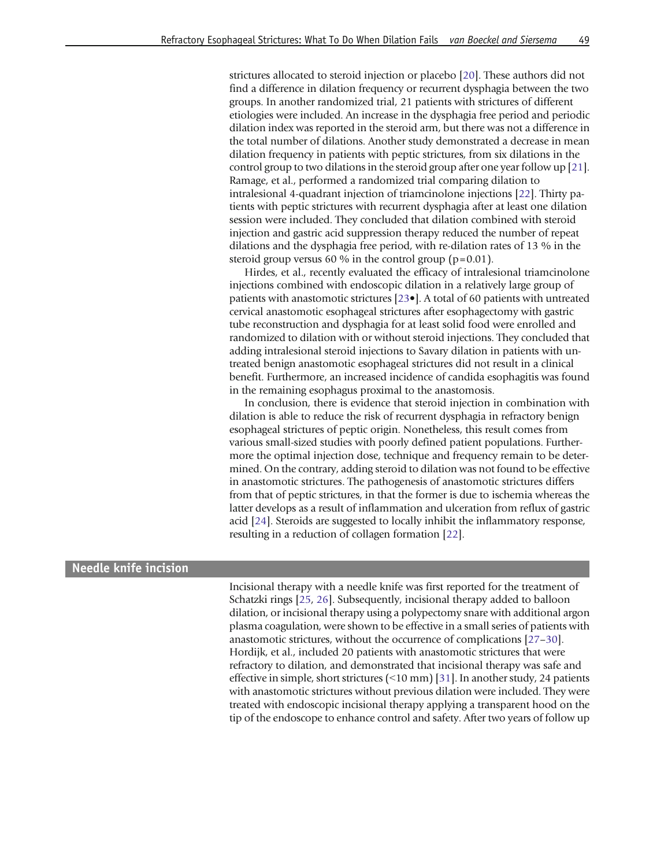strictures allocated to steroid injection or placebo [\[20](#page-9-0)]. These authors did not find a difference in dilation frequency or recurrent dysphagia between the two groups. In another randomized trial, 21 patients with strictures of different etiologies were included. An increase in the dysphagia free period and periodic dilation index was reported in the steroid arm, but there was not a difference in the total number of dilations. Another study demonstrated a decrease in mean dilation frequency in patients with peptic strictures, from six dilations in the control group to two dilations in the steroid group after one year follow up [\[21](#page-9-0)]. Ramage, et al., performed a randomized trial comparing dilation to intralesional 4-quadrant injection of triamcinolone injections [\[22\]](#page-9-0). Thirty patients with peptic strictures with recurrent dysphagia after at least one dilation session were included. They concluded that dilation combined with steroid injection and gastric acid suppression therapy reduced the number of repeat dilations and the dysphagia free period, with re-dilation rates of 13 % in the steroid group versus 60 % in the control group  $(p=0.01)$ .

Hirdes, et al., recently evaluated the efficacy of intralesional triamcinolone injections combined with endoscopic dilation in a relatively large group of patients with anastomotic strictures [\[23](#page-9-0)•]. A total of 60 patients with untreated cervical anastomotic esophageal strictures after esophagectomy with gastric tube reconstruction and dysphagia for at least solid food were enrolled and randomized to dilation with or without steroid injections. They concluded that adding intralesional steroid injections to Savary dilation in patients with untreated benign anastomotic esophageal strictures did not result in a clinical benefit. Furthermore, an increased incidence of candida esophagitis was found in the remaining esophagus proximal to the anastomosis.

In conclusion, there is evidence that steroid injection in combination with dilation is able to reduce the risk of recurrent dysphagia in refractory benign esophageal strictures of peptic origin. Nonetheless, this result comes from various small-sized studies with poorly defined patient populations. Furthermore the optimal injection dose, technique and frequency remain to be determined. On the contrary, adding steroid to dilation was not found to be effective in anastomotic strictures. The pathogenesis of anastomotic strictures differs from that of peptic strictures, in that the former is due to ischemia whereas the latter develops as a result of inflammation and ulceration from reflux of gastric acid [\[24](#page-9-0)]. Steroids are suggested to locally inhibit the inflammatory response, resulting in a reduction of collagen formation [\[22\]](#page-9-0).

#### Needle knife incision

Incisional therapy with a needle knife was first reported for the treatment of Schatzki rings [[25,](#page-9-0) [26\]](#page-9-0). Subsequently, incisional therapy added to balloon dilation, or incisional therapy using a polypectomy snare with additional argon plasma coagulation, were shown to be effective in a small series of patients with anastomotic strictures, without the occurrence of complications [[27](#page-9-0)–[30\]](#page-9-0). Hordijk, et al., included 20 patients with anastomotic strictures that were refractory to dilation, and demonstrated that incisional therapy was safe and effective in simple, short strictures  $(510 \text{ mm})$  [[31](#page-9-0)]. In another study, 24 patients with anastomotic strictures without previous dilation were included. They were treated with endoscopic incisional therapy applying a transparent hood on the tip of the endoscope to enhance control and safety. After two years of follow up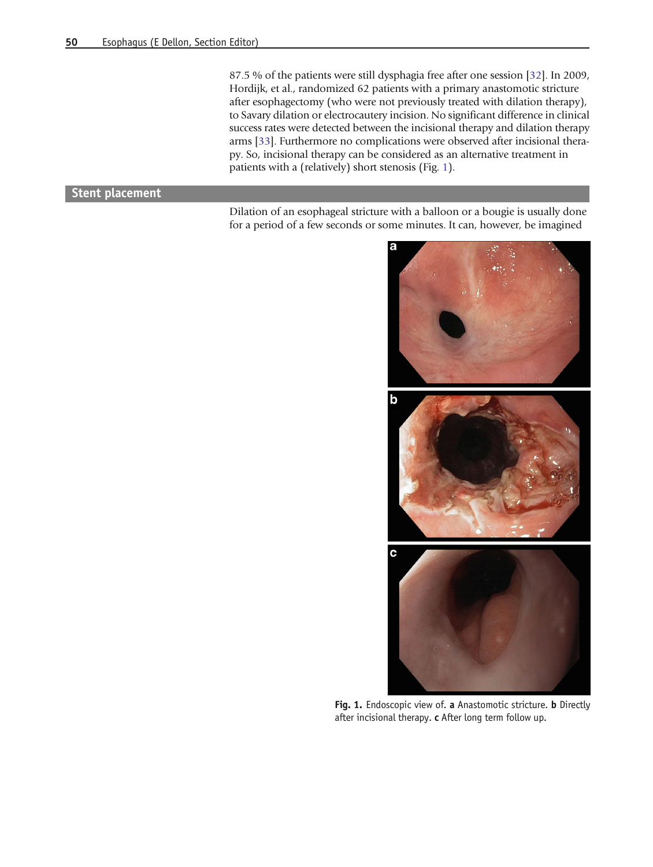87.5 % of the patients were still dysphagia free after one session [\[32\]](#page-9-0). In 2009, Hordijk, et al., randomized 62 patients with a primary anastomotic stricture after esophagectomy (who were not previously treated with dilation therapy), to Savary dilation or electrocautery incision. No significant difference in clinical success rates were detected between the incisional therapy and dilation therapy arms [[33\]](#page-9-0). Furthermore no complications were observed after incisional therapy. So, incisional therapy can be considered as an alternative treatment in patients with a (relatively) short stenosis (Fig. 1).

#### Stent placement

Dilation of an esophageal stricture with a balloon or a bougie is usually done for a period of a few seconds or some minutes. It can, however, be imagined



Fig. 1. Endoscopic view of. a Anastomotic stricture. b Directly after incisional therapy. c After long term follow up.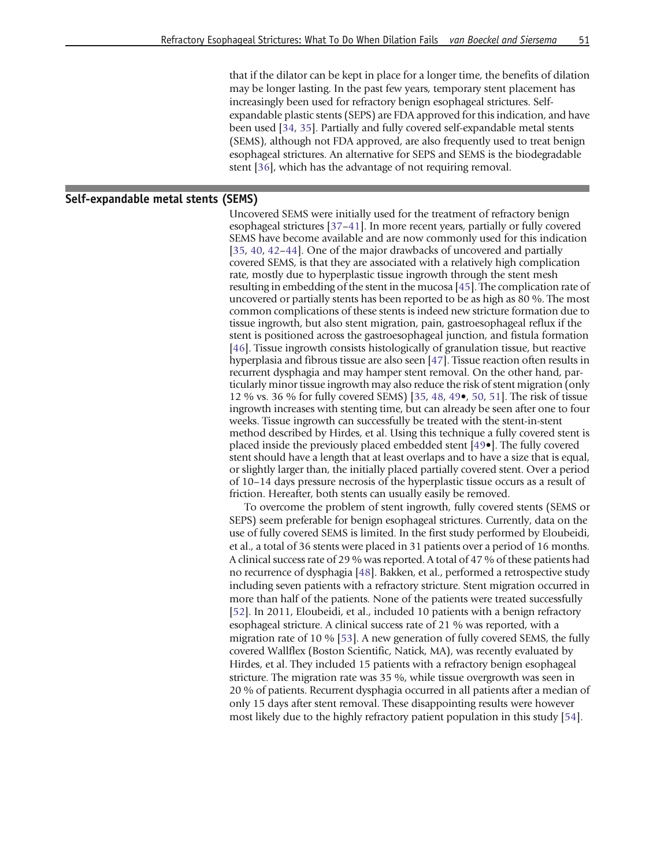that if the dilator can be kept in place for a longer time, the benefits of dilation may be longer lasting. In the past few years, temporary stent placement has increasingly been used for refractory benign esophageal strictures. Selfexpandable plastic stents (SEPS) are FDA approved for this indication, and have been used [[34](#page-9-0), [35](#page-9-0)]. Partially and fully covered self-expandable metal stents (SEMS), although not FDA approved, are also frequently used to treat benign esophageal strictures. An alternative for SEPS and SEMS is the biodegradable stent [\[36](#page-9-0)], which has the advantage of not requiring removal.

#### Self-expandable metal stents (SEMS)

Uncovered SEMS were initially used for the treatment of refractory benign esophageal strictures [[37](#page-10-0)–[41\]](#page-10-0). In more recent years, partially or fully covered SEMS have become available and are now commonly used for this indication [[35](#page-9-0), [40](#page-10-0), [42](#page-10-0)–[44](#page-10-0)]. One of the major drawbacks of uncovered and partially covered SEMS, is that they are associated with a relatively high complication rate, mostly due to hyperplastic tissue ingrowth through the stent mesh resulting in embedding of the stent in the mucosa [[45](#page-10-0)]. The complication rate of uncovered or partially stents has been reported to be as high as 80 %. The most common complications of these stents is indeed new stricture formation due to tissue ingrowth, but also stent migration, pain, gastroesophageal reflux if the stent is positioned across the gastroesophageal junction, and fistula formation [[46](#page-10-0)]. Tissue ingrowth consists histologically of granulation tissue, but reactive hyperplasia and fibrous tissue are also seen [[47](#page-10-0)]. Tissue reaction often results in recurrent dysphagia and may hamper stent removal. On the other hand, particularly minor tissue ingrowth may also reduce the risk of stent migration (only 12 % vs. 36 % for fully covered SEMS) [[35,](#page-9-0) [48,](#page-10-0) [49](#page-10-0)•, [50](#page-10-0), [51](#page-10-0)]. The risk of tissue ingrowth increases with stenting time, but can already be seen after one to four weeks. Tissue ingrowth can successfully be treated with the stent-in-stent method described by Hirdes, et al. Using this technique a fully covered stent is placed inside the previously placed embedded stent [\[49](#page-10-0)•]. The fully covered stent should have a length that at least overlaps and to have a size that is equal, or slightly larger than, the initially placed partially covered stent. Over a period of 10–14 days pressure necrosis of the hyperplastic tissue occurs as a result of friction. Hereafter, both stents can usually easily be removed.

To overcome the problem of stent ingrowth, fully covered stents (SEMS or SEPS) seem preferable for benign esophageal strictures. Currently, data on the use of fully covered SEMS is limited. In the first study performed by Eloubeidi, et al., a total of 36 stents were placed in 31 patients over a period of 16 months. A clinical success rate of 29 % was reported. A total of 47 % of these patients had no recurrence of dysphagia [\[48](#page-10-0)]. Bakken, et al., performed a retrospective study including seven patients with a refractory stricture. Stent migration occurred in more than half of the patients. None of the patients were treated successfully [[52](#page-10-0)]. In 2011, Eloubeidi, et al., included 10 patients with a benign refractory esophageal stricture. A clinical success rate of 21 % was reported, with a migration rate of 10 % [\[53\]](#page-10-0). A new generation of fully covered SEMS, the fully covered Wallflex (Boston Scientific, Natick, MA), was recently evaluated by Hirdes, et al. They included 15 patients with a refractory benign esophageal stricture. The migration rate was 35 %, while tissue overgrowth was seen in 20 % of patients. Recurrent dysphagia occurred in all patients after a median of only 15 days after stent removal. These disappointing results were however most likely due to the highly refractory patient population in this study [\[54\]](#page-10-0).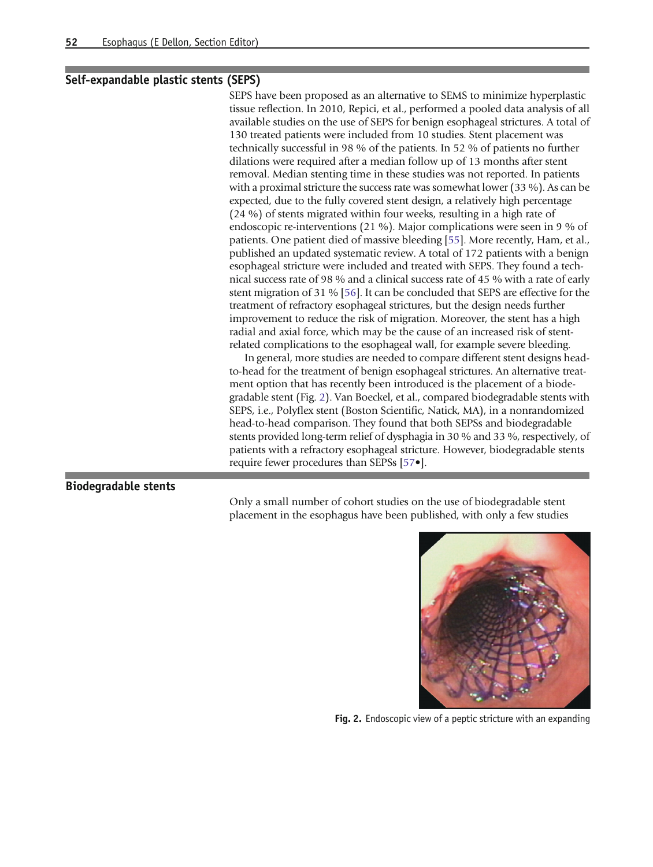#### Self-expandable plastic stents (SEPS)

SEPS have been proposed as an alternative to SEMS to minimize hyperplastic tissue reflection. In 2010, Repici, et al., performed a pooled data analysis of all available studies on the use of SEPS for benign esophageal strictures. A total of 130 treated patients were included from 10 studies. Stent placement was technically successful in 98 % of the patients. In 52 % of patients no further dilations were required after a median follow up of 13 months after stent removal. Median stenting time in these studies was not reported. In patients with a proximal stricture the success rate was somewhat lower (33 %). As can be expected, due to the fully covered stent design, a relatively high percentage (24 %) of stents migrated within four weeks, resulting in a high rate of endoscopic re-interventions (21 %). Major complications were seen in 9 % of patients. One patient died of massive bleeding [[55\]](#page-10-0). More recently, Ham, et al., published an updated systematic review. A total of 172 patients with a benign esophageal stricture were included and treated with SEPS. They found a technical success rate of 98 % and a clinical success rate of 45 % with a rate of early stent migration of 31 % [\[56\]](#page-10-0). It can be concluded that SEPS are effective for the treatment of refractory esophageal strictures, but the design needs further improvement to reduce the risk of migration. Moreover, the stent has a high radial and axial force, which may be the cause of an increased risk of stentrelated complications to the esophageal wall, for example severe bleeding.

In general, more studies are needed to compare different stent designs headto-head for the treatment of benign esophageal strictures. An alternative treatment option that has recently been introduced is the placement of a biodegradable stent (Fig. 2). Van Boeckel, et al., compared biodegradable stents with SEPS, i.e., Polyflex stent (Boston Scientific, Natick, MA), in a nonrandomized head-to-head comparison. They found that both SEPSs and biodegradable stents provided long-term relief of dysphagia in 30 % and 33 %, respectively, of patients with a refractory esophageal stricture. However, biodegradable stents require fewer procedures than SEPSs [[57](#page-10-0)•].

#### Biodegradable stents

Only a small number of cohort studies on the use of biodegradable stent placement in the esophagus have been published, with only a few studies



Fig. 2. Endoscopic view of a peptic stricture with an expanding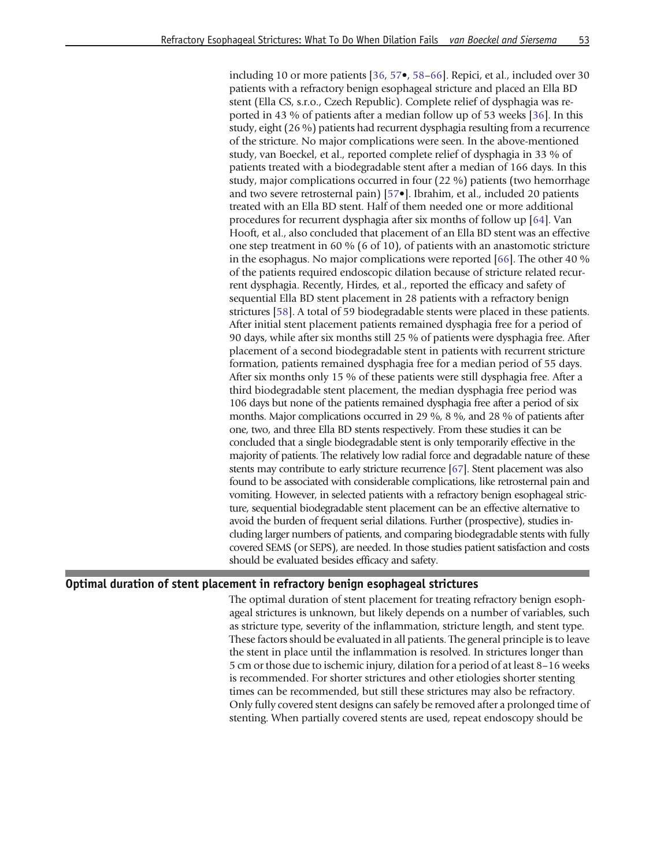including 10 or more patients [\[36,](#page-9-0) [57](#page-10-0)•, [58](#page-10-0)–[66](#page-11-0)]. Repici, et al., included over 30 patients with a refractory benign esophageal stricture and placed an Ella BD stent (Ella CS, s.r.o., Czech Republic). Complete relief of dysphagia was reported in 43 % of patients after a median follow up of 53 weeks [[36\]](#page-9-0). In this study, eight (26 %) patients had recurrent dysphagia resulting from a recurrence of the stricture. No major complications were seen. In the above-mentioned study, van Boeckel, et al., reported complete relief of dysphagia in 33 % of patients treated with a biodegradable stent after a median of 166 days. In this study, major complications occurred in four (22 %) patients (two hemorrhage and two severe retrosternal pain) [\[57](#page-10-0)•]. Ibrahim, et al., included 20 patients treated with an Ella BD stent. Half of them needed one or more additional procedures for recurrent dysphagia after six months of follow up [\[64\]](#page-11-0). Van Hooft, et al., also concluded that placement of an Ella BD stent was an effective one step treatment in 60 % (6 of 10), of patients with an anastomotic stricture in the esophagus. No major complications were reported [[66\]](#page-11-0). The other 40 % of the patients required endoscopic dilation because of stricture related recurrent dysphagia. Recently, Hirdes, et al., reported the efficacy and safety of sequential Ella BD stent placement in 28 patients with a refractory benign strictures [\[58](#page-10-0)]. A total of 59 biodegradable stents were placed in these patients. After initial stent placement patients remained dysphagia free for a period of 90 days, while after six months still 25 % of patients were dysphagia free. After placement of a second biodegradable stent in patients with recurrent stricture formation, patients remained dysphagia free for a median period of 55 days. After six months only 15 % of these patients were still dysphagia free. After a third biodegradable stent placement, the median dysphagia free period was 106 days but none of the patients remained dysphagia free after a period of six months. Major complications occurred in 29 %, 8 %, and 28 % of patients after one, two, and three Ella BD stents respectively. From these studies it can be concluded that a single biodegradable stent is only temporarily effective in the majority of patients. The relatively low radial force and degradable nature of these stents may contribute to early stricture recurrence [\[67\]](#page-11-0). Stent placement was also found to be associated with considerable complications, like retrosternal pain and vomiting. However, in selected patients with a refractory benign esophageal stricture, sequential biodegradable stent placement can be an effective alternative to avoid the burden of frequent serial dilations. Further (prospective), studies including larger numbers of patients, and comparing biodegradable stents with fully covered SEMS (or SEPS), are needed. In those studies patient satisfaction and costs should be evaluated besides efficacy and safety.

#### Optimal duration of stent placement in refractory benign esophageal strictures

The optimal duration of stent placement for treating refractory benign esophageal strictures is unknown, but likely depends on a number of variables, such as stricture type, severity of the inflammation, stricture length, and stent type. These factors should be evaluated in all patients. The general principle is to leave the stent in place until the inflammation is resolved. In strictures longer than 5 cm or those due to ischemic injury, dilation for a period of at least 8–16 weeks is recommended. For shorter strictures and other etiologies shorter stenting times can be recommended, but still these strictures may also be refractory. Only fully covered stent designs can safely be removed after a prolonged time of stenting. When partially covered stents are used, repeat endoscopy should be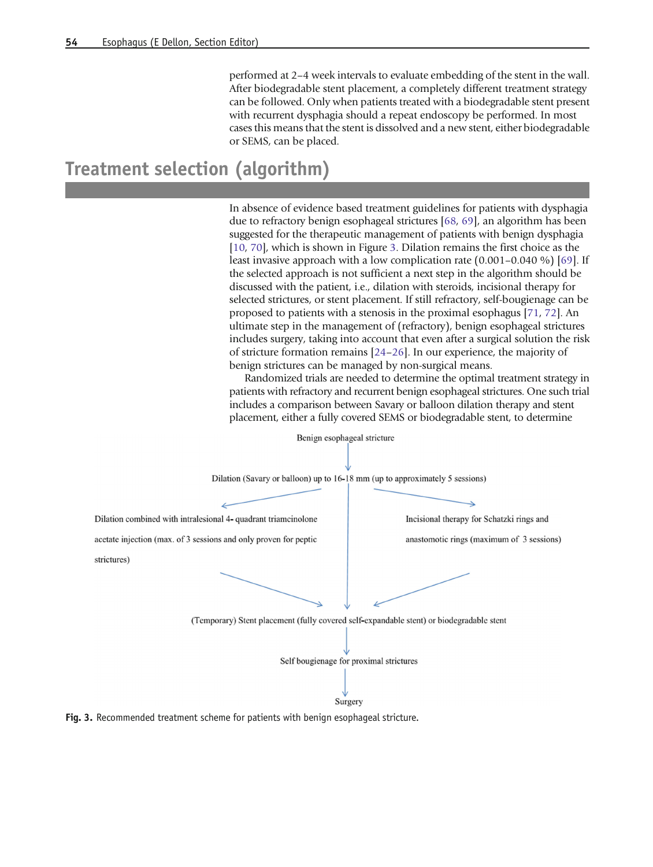performed at 2–4 week intervals to evaluate embedding of the stent in the wall. After biodegradable stent placement, a completely different treatment strategy can be followed. Only when patients treated with a biodegradable stent present with recurrent dysphagia should a repeat endoscopy be performed. In most cases this means that the stent is dissolved and a new stent, either biodegradable or SEMS, can be placed.

## Treatment selection (algorithm)

In absence of evidence based treatment guidelines for patients with dysphagia due to refractory benign esophageal strictures [\[68](#page-11-0), [69](#page-11-0)], an algorithm has been suggested for the therapeutic management of patients with benign dysphagia [[10](#page-9-0), [70](#page-11-0)], which is shown in Figure 3. Dilation remains the first choice as the least invasive approach with a low complication rate (0.001–0.040 %) [[69](#page-11-0)]. If the selected approach is not sufficient a next step in the algorithm should be discussed with the patient, i.e., dilation with steroids, incisional therapy for selected strictures, or stent placement. If still refractory, self-bougienage can be proposed to patients with a stenosis in the proximal esophagus [\[71,](#page-11-0) [72\]](#page-11-0). An ultimate step in the management of (refractory), benign esophageal strictures includes surgery, taking into account that even after a surgical solution the risk of stricture formation remains [\[24](#page-9-0)–[26\]](#page-9-0). In our experience, the majority of benign strictures can be managed by non-surgical means.

Randomized trials are needed to determine the optimal treatment strategy in patients with refractory and recurrent benign esophageal strictures. One such trial includes a comparison between Savary or balloon dilation therapy and stent placement, either a fully covered SEMS or biodegradable stent, to determine



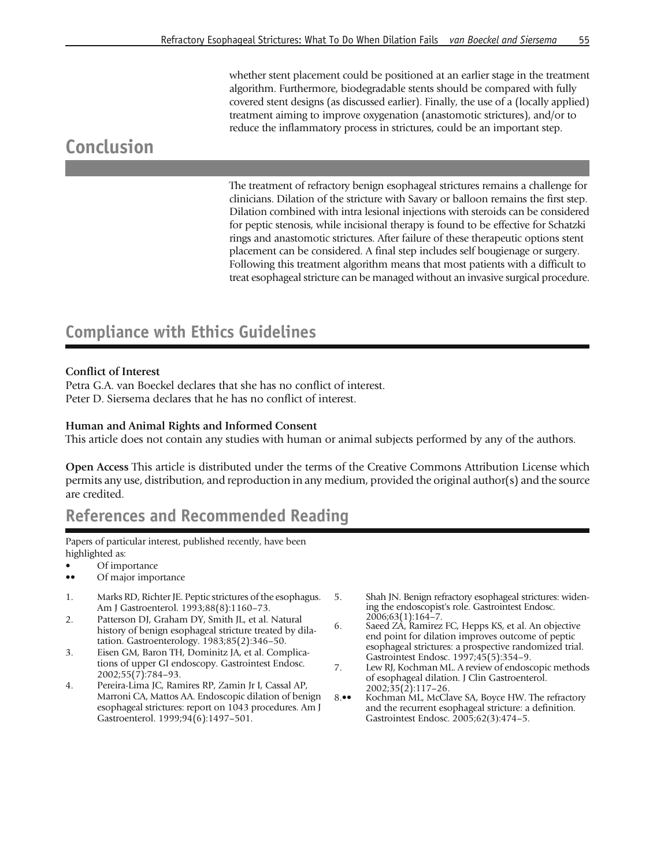whether stent placement could be positioned at an earlier stage in the treatment algorithm. Furthermore, biodegradable stents should be compared with fully covered stent designs (as discussed earlier). Finally, the use of a (locally applied) treatment aiming to improve oxygenation (anastomotic strictures), and/or to reduce the inflammatory process in strictures, could be an important step.

# <span id="page-8-0"></span>Conclusion

The treatment of refractory benign esophageal strictures remains a challenge for clinicians. Dilation of the stricture with Savary or balloon remains the first step. Dilation combined with intra lesional injections with steroids can be considered for peptic stenosis, while incisional therapy is found to be effective for Schatzki rings and anastomotic strictures. After failure of these therapeutic options stent placement can be considered. A final step includes self bougienage or surgery. Following this treatment algorithm means that most patients with a difficult to treat esophageal stricture can be managed without an invasive surgical procedure.

### Compliance with Ethics Guidelines

#### Conflict of Interest

Petra G.A. van Boeckel declares that she has no conflict of interest. Peter D. Siersema declares that he has no conflict of interest.

#### Human and Animal Rights and Informed Consent

This article does not contain any studies with human or animal subjects performed by any of the authors.

Open Access This article is distributed under the terms of the Creative Commons Attribution License which permits any use, distribution, and reproduction in any medium, provided the original author(s) and the source are credited.

### References and Recommended Reading

Papers of particular interest, published recently, have been highlighted as:

- Of importance
- Of major importance
- 1. Marks RD, Richter JE. Peptic strictures of the esophagus. Am J Gastroenterol. 1993;88(8):1160–73.
- 2. Patterson DJ, Graham DY, Smith JL, et al. Natural history of benign esophageal stricture treated by dilatation. Gastroenterology. 1983;85(2):346–50.
- 3. Eisen GM, Baron TH, Dominitz JA, et al. Complications of upper GI endoscopy. Gastrointest Endosc. 2002;55(7):784–93.
- 4. Pereira-Lima JC, Ramires RP, Zamin Jr I, Cassal AP, Marroni CA, Mattos AA. Endoscopic dilation of benign esophageal strictures: report on 1043 procedures. Am J Gastroenterol. 1999;94(6):1497–501.
- 5. Shah JN. Benign refractory esophageal strictures: widening the endoscopist's role. Gastrointest Endosc. 2006;63(1):164–7.
- 6. Saeed ZA, Ramirez FC, Hepps KS, et al. An objective end point for dilation improves outcome of peptic esophageal strictures: a prospective randomized trial. Gastrointest Endosc. 1997;45(5):354–9.
- 7. Lew RJ, Kochman ML. A review of endoscopic methods of esophageal dilation. J Clin Gastroenterol.  $2002;35(2):117-26.$
- 8.•• Kochman ML, McClave SA, Boyce HW. The refractory and the recurrent esophageal stricture: a definition. Gastrointest Endosc. 2005;62(3):474-5.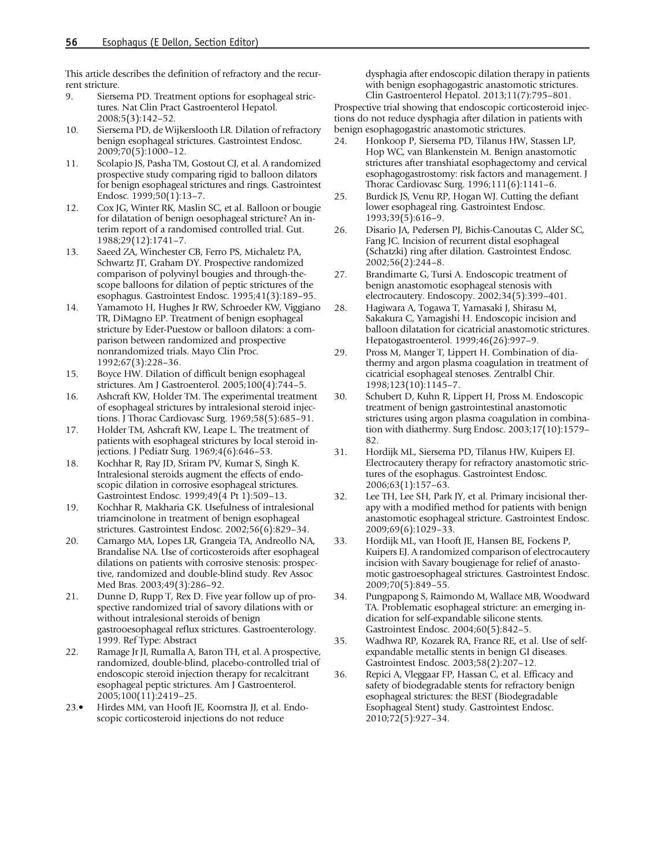<span id="page-9-0"></span>This article describes the definition of refractory and the recurrent stricture.

- 9. Siersema PD. Treatment options for esophageal strictures. Nat Clin Pract Gastroenterol Hepatol. 2008;5(3):142–52.
- 10. Siersema PD, de Wijkerslooth LR. Dilation of refractory benign esophageal strictures. Gastrointest Endosc. 2009;70(5):1000–12.
- 11. Scolapio JS, Pasha TM, Gostout CJ, et al. A randomized prospective study comparing rigid to balloon dilators for benign esophageal strictures and rings. Gastrointest Endosc. 1999;50(1):13–7.
- 12. Cox JG, Winter RK, Maslin SC, et al. Balloon or bougie for dilatation of benign oesophageal stricture? An interim report of a randomised controlled trial. Gut. 1988;29(12):1741–7.
- 13. Saeed ZA, Winchester CB, Ferro PS, Michaletz PA, Schwartz JT, Graham DY. Prospective randomized comparison of polyvinyl bougies and through-thescope balloons for dilation of peptic strictures of the esophagus. Gastrointest Endosc. 1995;41(3):189–95.
- 14. Yamamoto H, Hughes Jr RW, Schroeder KW, Viggiano TR, DiMagno EP. Treatment of benign esophageal stricture by Eder-Puestow or balloon dilators: a comparison between randomized and prospective nonrandomized trials. Mayo Clin Proc. 1992;67(3):228–36.
- 15. Boyce HW. Dilation of difficult benign esophageal strictures. Am J Gastroenterol. 2005;100(4):744–5.
- 16. Ashcraft KW, Holder TM. The experimental treatment of esophageal strictures by intralesional steroid injections. J Thorac Cardiovasc Surg. 1969;58(5):685–91.
- 17. Holder TM, Ashcraft KW, Leape L. The treatment of patients with esophageal strictures by local steroid injections. J Pediatr Surg. 1969;4(6):646–53.
- 18. Kochhar R, Ray JD, Sriram PV, Kumar S, Singh K. Intralesional steroids augment the effects of endoscopic dilation in corrosive esophageal strictures. Gastrointest Endosc. 1999;49(4 Pt 1):509–13.
- 19. Kochhar R, Makharia GK. Usefulness of intralesional triamcinolone in treatment of benign esophageal strictures. Gastrointest Endosc. 2002;56(6):829–34.
- 20. Camargo MA, Lopes LR, Grangeia TA, Andreollo NA, Brandalise NA. Use of corticosteroids after esophageal dilations on patients with corrosive stenosis: prospective, randomized and double-blind study. Rev Assoc Med Bras. 2003;49(3):286–92.
- 21. Dunne D, Rupp T, Rex D. Five year follow up of prospective randomized trial of savory dilations with or without intralesional steroids of benign gastrooesophageal reflux strictures. Gastroenterology. 1999. Ref Type: Abstract
- 22. Ramage Jr JI, Rumalla A, Baron TH, et al. A prospective, randomized, double-blind, placebo-controlled trial of endoscopic steroid injection therapy for recalcitrant esophageal peptic strictures. Am J Gastroenterol. 2005;100(11):2419–25.
- 23.• Hirdes MM, van Hooft JE, Koornstra JJ, et al. Endoscopic corticosteroid injections do not reduce

dysphagia after endoscopic dilation therapy in patients with benign esophagogastric anastomotic strictures. Clin Gastroenterol Hepatol.  $2013;11(7):795-801$ .

Prospective trial showing that endoscopic corticosteroid injections do not reduce dysphagia after dilation in patients with benign esophagogastric anastomotic strictures.

- 24. Honkoop P, Siersema PD, Tilanus HW, Stassen LP, Hop WC, van Blankenstein M. Benign anastomotic strictures after transhiatal esophagectomy and cervical esophagogastrostomy: risk factors and management. J Thorac Cardiovasc Surg. 1996;111(6):1141–6.
- 25. Burdick JS, Venu RP, Hogan WJ. Cutting the defiant lower esophageal ring. Gastrointest Endosc. 1993;39(5):616–9.
- 26. Disario JA, Pedersen PJ, Bichis-Canoutas C, Alder SC, Fang JC. Incision of recurrent distal esophageal (Schatzki) ring after dilation. Gastrointest Endosc.  $2002;56(2):244-8.$
- 27. Brandimarte G, Tursi A. Endoscopic treatment of benign anastomotic esophageal stenosis with electrocautery. Endoscopy. 2002;34(5):399–401.
- 28. Hagiwara A, Togawa T, Yamasaki J, Shirasu M, Sakakura C, Yamagishi H. Endoscopic incision and balloon dilatation for cicatricial anastomotic strictures. Hepatogastroenterol. 1999;46(26):997–9.
- 29. Pross M, Manger T, Lippert H. Combination of diathermy and argon plasma coagulation in treatment of cicatricial esophageal stenoses. Zentralbl Chir. 1998;123(10):1145–7.
- 30. Schubert D, Kuhn R, Lippert H, Pross M. Endoscopic treatment of benign gastrointestinal anastomotic strictures using argon plasma coagulation in combination with diathermy. Surg Endosc. 2003;17(10):1579– 82.
- 31. Hordijk ML, Siersema PD, Tilanus HW, Kuipers EJ. Electrocautery therapy for refractory anastomotic strictures of the esophagus. Gastrointest Endosc. 2006;63(1):157–63.
- 32. Lee TH, Lee SH, Park JY, et al. Primary incisional therapy with a modified method for patients with benign anastomotic esophageal stricture. Gastrointest Endosc. 2009;69(6):1029–33.
- 33. Hordijk ML, van Hooft JE, Hansen BE, Fockens P, Kuipers EJ. A randomized comparison of electrocautery incision with Savary bougienage for relief of anastomotic gastroesophageal strictures. Gastrointest Endosc. 2009;70(5):849–55.
- 34. Pungpapong S, Raimondo M, Wallace MB, Woodward TA. Problematic esophageal stricture: an emerging indication for self-expandable silicone stents. Gastrointest Endosc. 2004;60(5):842–5.
- 35. Wadhwa RP, Kozarek RA, France RE, et al. Use of selfexpandable metallic stents in benign GI diseases. Gastrointest Endosc. 2003;58(2):207–12.
- 36. Repici A, Vleggaar FP, Hassan C, et al. Efficacy and safety of biodegradable stents for refractory benign esophageal strictures: the BEST (Biodegradable Esophageal Stent) study. Gastrointest Endosc. 2010;72(5):927–34.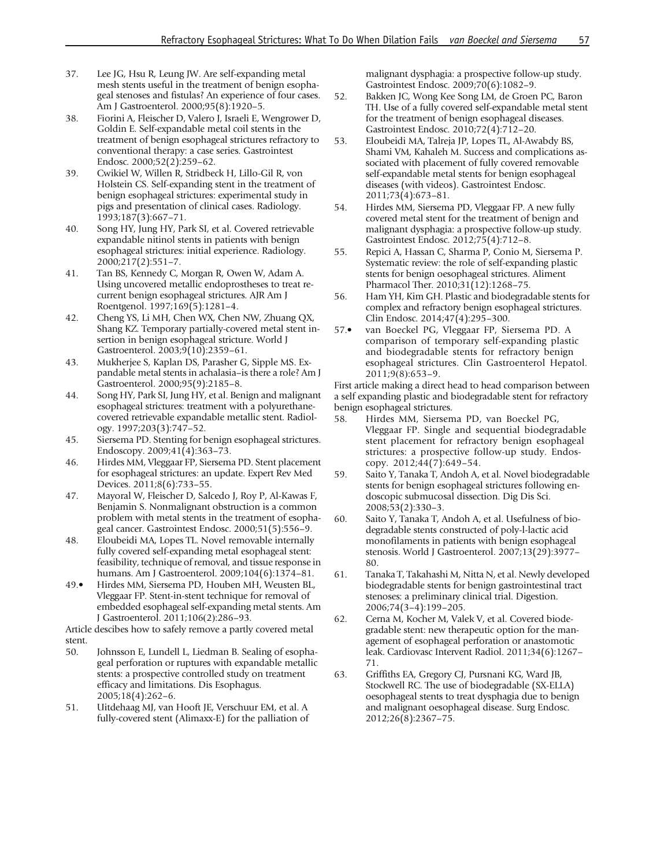- <span id="page-10-0"></span>37. Lee JG, Hsu R, Leung JW. Are self-expanding metal mesh stents useful in the treatment of benign esophageal stenoses and fistulas? An experience of four cases. Am J Gastroenterol. 2000;95(8):1920–5.
- 38. Fiorini A, Fleischer D, Valero J, Israeli E, Wengrower D, Goldin E. Self-expandable metal coil stents in the treatment of benign esophageal strictures refractory to conventional therapy: a case series. Gastrointest Endosc. 2000;52(2):259–62.
- 39. Cwikiel W, Willen R, Stridbeck H, Lillo-Gil R, von Holstein CS. Self-expanding stent in the treatment of benign esophageal strictures: experimental study in pigs and presentation of clinical cases. Radiology. 1993;187(3):667–71.
- 40. Song HY, Jung HY, Park SI, et al. Covered retrievable expandable nitinol stents in patients with benign esophageal strictures: initial experience. Radiology. 2000;217(2):551–7.
- 41. Tan BS, Kennedy C, Morgan R, Owen W, Adam A. Using uncovered metallic endoprostheses to treat recurrent benign esophageal strictures. AJR Am J Roentgenol. 1997;169(5):1281–4.
- 42. Cheng YS, Li MH, Chen WX, Chen NW, Zhuang QX, Shang KZ. Temporary partially-covered metal stent insertion in benign esophageal stricture. World J Gastroenterol. 2003;9(10):2359–61.
- 43. Mukherjee S, Kaplan DS, Parasher G, Sipple MS. Expandable metal stents in achalasia–is there a role? Am J Gastroenterol. 2000;95(9):2185–8.
- 44. Song HY, Park SI, Jung HY, et al. Benign and malignant esophageal strictures: treatment with a polyurethanecovered retrievable expandable metallic stent. Radiology. 1997;203(3):747–52.
- 45. Siersema PD. Stenting for benign esophageal strictures. Endoscopy. 2009;41(4):363–73.
- 46. Hirdes MM, Vleggaar FP, Siersema PD. Stent placement for esophageal strictures: an update. Expert Rev Med Devices. 2011;8(6):733–55.
- 47. Mayoral W, Fleischer D, Salcedo J, Roy P, Al-Kawas F, Benjamin S. Nonmalignant obstruction is a common problem with metal stents in the treatment of esophageal cancer. Gastrointest Endosc. 2000;51(5):556–9.
- 48. Eloubeidi MA, Lopes TL. Novel removable internally fully covered self-expanding metal esophageal stent: feasibility, technique of removal, and tissue response in humans. Am J Gastroenterol. 2009;104(6):1374–81.
- 49.• Hirdes MM, Siersema PD, Houben MH, Weusten BL, Vleggaar FP. Stent-in-stent technique for removal of embedded esophageal self-expanding metal stents. Am J Gastroenterol. 2011;106(2):286-93.

Article descibes how to safely remove a partly covered metal stent.

- 50. Johnsson E, Lundell L, Liedman B. Sealing of esophageal perforation or ruptures with expandable metallic stents: a prospective controlled study on treatment efficacy and limitations. Dis Esophagus. 2005;18(4):262–6.
- 51. Uitdehaag MJ, van Hooft JE, Verschuur EM, et al. A fully-covered stent (Alimaxx-E) for the palliation of

malignant dysphagia: a prospective follow-up study. Gastrointest Endosc. 2009;70(6):1082–9.

- 52. Bakken JC, Wong Kee Song LM, de Groen PC, Baron TH. Use of a fully covered self-expandable metal stent for the treatment of benign esophageal diseases. Gastrointest Endosc. 2010;72(4):712–20.
- 53. Eloubeidi MA, Talreja JP, Lopes TL, Al-Awabdy BS, Shami VM, Kahaleh M. Success and complications associated with placement of fully covered removable self-expandable metal stents for benign esophageal diseases (with videos). Gastrointest Endosc. 2011;73(4):673–81.
- 54. Hirdes MM, Siersema PD, Vleggaar FP. A new fully covered metal stent for the treatment of benign and malignant dysphagia: a prospective follow-up study. Gastrointest Endosc. 2012;75(4):712–8.
- 55. Repici A, Hassan C, Sharma P, Conio M, Siersema P. Systematic review: the role of self-expanding plastic stents for benign oesophageal strictures. Aliment Pharmacol Ther. 2010;31(12):1268–75.
- 56. Ham YH, Kim GH. Plastic and biodegradable stents for complex and refractory benign esophageal strictures. Clin Endosc. 2014;47(4):295–300.
- 57.• van Boeckel PG, Vleggaar FP, Siersema PD. A comparison of temporary self-expanding plastic and biodegradable stents for refractory benign esophageal strictures. Clin Gastroenterol Hepatol.  $2011;9(8):653-9.$

First article making a direct head to head comparison between a self expanding plastic and biodegradable stent for refractory benign esophageal strictures.

- 58. Hirdes MM, Siersema PD, van Boeckel PG, Vleggaar FP. Single and sequential biodegradable stent placement for refractory benign esophageal strictures: a prospective follow-up study. Endoscopy. 2012;44(7):649–54.
- 59. Saito Y, Tanaka T, Andoh A, et al. Novel biodegradable stents for benign esophageal strictures following endoscopic submucosal dissection. Dig Dis Sci. 2008;53(2):330–3.
- 60. Saito Y, Tanaka T, Andoh A, et al. Usefulness of biodegradable stents constructed of poly-l-lactic acid monofilaments in patients with benign esophageal stenosis. World J Gastroenterol. 2007;13(29):3977– 80.
- 61. Tanaka T, Takahashi M, Nitta N, et al. Newly developed biodegradable stents for benign gastrointestinal tract stenoses: a preliminary clinical trial. Digestion. 2006;74(3–4):199–205.
- 62. Cerna M, Kocher M, Valek V, et al. Covered biodegradable stent: new therapeutic option for the management of esophageal perforation or anastomotic leak. Cardiovasc Intervent Radiol. 2011;34(6):1267– 71.
- 63. Griffiths EA, Gregory CJ, Pursnani KG, Ward JB, Stockwell RC. The use of biodegradable (SX-ELLA) oesophageal stents to treat dysphagia due to benign and malignant oesophageal disease. Surg Endosc. 2012;26(8):2367–75.